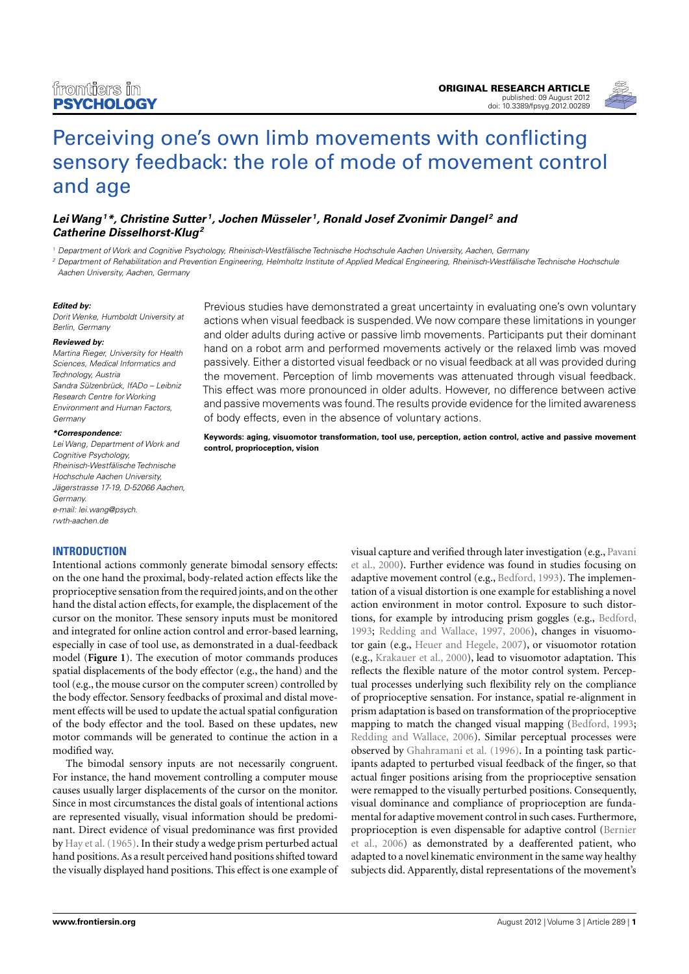

# [Perceiving one's own limb movements with conflicting](http://www.frontiersin.org/Cognition/10.3389/fpsyg.2012.00289/abstract) [sensory feedback: the role of mode of movement control](http://www.frontiersin.org/Cognition/10.3389/fpsyg.2012.00289/abstract) [and age](http://www.frontiersin.org/Cognition/10.3389/fpsyg.2012.00289/abstract)

## **[LeiWang](http://www.frontiersin.org/Community/WhosWhoActivity.aspx?sname=LeiWang_2&UID=49505)<sup>1</sup>\*, [Christine Sutter](http://www.frontiersin.org/people/ChristineSutter/48140) <sup>1</sup> , [Jochen Müsseler](http://www.frontiersin.org/Community/WhosWhoActivity.aspx?sname=JochenMusseler&UID=17306) <sup>1</sup> , [Ronald Josef Zvonimir Dangel](http://www.frontiersin.org/people/RonaldZvonimir_Dangel/63213) <sup>2</sup> and Catherine Disselhorst-Klug<sup>2</sup>**

<sup>1</sup> Department of Work and Cognitive Psychology, Rheinisch-Westfälische Technische Hochschule Aachen University, Aachen, Germany

<sup>2</sup> Department of Rehabilitation and Prevention Engineering, Helmholtz Institute of Applied Medical Engineering, Rheinisch-Westfälische Technische Hochschule Aachen University, Aachen, Germany

#### **Edited by:**

Dorit Wenke, Humboldt University at Berlin, Germany

#### **Reviewed by:**

Martina Rieger, University for Health Sciences, Medical Informatics and Technology, Austria Sandra Sülzenbrück, IfADo – Leibniz Research Centre for Working Environment and Human Factors, **Germany** 

#### **\*Correspondence:**

Lei Wang, Department of Work and Cognitive Psychology, Rheinisch-Westfälische Technische Hochschule Aachen University, Jägerstrasse 17-19, D-52066 Aachen, Germany. e-mail: [lei.wang@psych.](mailto:lei.wang@psych.{\penalty -\@M }rwth-aachen.de) [rwth-aachen.de](mailto:lei.wang@psych.{\penalty -\@M }rwth-aachen.de)

#### **INTRODUCTION**

Intentional actions commonly generate bimodal sensory effects: on the one hand the proximal, body-related action effects like the proprioceptive sensation from the required joints, and on the other hand the distal action effects, for example, the displacement of the cursor on the monitor. These sensory inputs must be monitored and integrated for online action control and error-based learning, especially in case of tool use, as demonstrated in a dual-feedback model (**[Figure 1](#page-1-0)**). The execution of motor commands produces spatial displacements of the body effector (e.g., the hand) and the tool (e.g., the mouse cursor on the computer screen) controlled by the body effector. Sensory feedbacks of proximal and distal movement effects will be used to update the actual spatial configuration of the body effector and the tool. Based on these updates, new motor commands will be generated to continue the action in a modified way.

The bimodal sensory inputs are not necessarily congruent. For instance, the hand movement controlling a computer mouse causes usually larger displacements of the cursor on the monitor. Since in most circumstances the distal goals of intentional actions are represented visually, visual information should be predominant. Direct evidence of visual predominance was first provided by [Hay et al.](#page-6-0) [\(1965\)](#page-6-0). In their study a wedge prism perturbed actual hand positions. As a result perceived hand positions shifted toward the visually displayed hand positions. This effect is one example of

Previous studies have demonstrated a great uncertainty in evaluating one's own voluntary actions when visual feedback is suspended.We now compare these limitations in younger and older adults during active or passive limb movements. Participants put their dominant hand on a robot arm and performed movements actively or the relaxed limb was moved passively. Either a distorted visual feedback or no visual feedback at all was provided during the movement. Perception of limb movements was attenuated through visual feedback. This effect was more pronounced in older adults. However, no difference between active and passive movements was found.The results provide evidence for the limited awareness of body effects, even in the absence of voluntary actions.

**Keywords: aging, visuomotor transformation, tool use, perception, action control, active and passive movement control, proprioception, vision**

> visual capture and verified through later investigation (e.g., [Pavani](#page-6-1) [et al., 2000\)](#page-6-1). Further evidence was found in studies focusing on adaptive movement control (e.g., [Bedford, 1993\)](#page-5-0). The implementation of a visual distortion is one example for establishing a novel action environment in motor control. Exposure to such distortions, for example by introducing prism goggles (e.g., [Bedford,](#page-5-0) [1993;](#page-5-0) [Redding and Wallace, 1997,](#page-6-2) [2006\)](#page-6-3), changes in visuomotor gain (e.g., [Heuer and Hegele, 2007\)](#page-6-4), or visuomotor rotation (e.g., [Krakauer et al., 2000\)](#page-6-5), lead to visuomotor adaptation. This reflects the flexible nature of the motor control system. Perceptual processes underlying such flexibility rely on the compliance of proprioceptive sensation. For instance, spatial re-alignment in prism adaptation is based on transformation of the proprioceptive mapping to match the changed visual mapping [\(Bedford, 1993;](#page-5-0) [Redding and Wallace, 2006\)](#page-6-3). Similar perceptual processes were observed by [Ghahramani et al.](#page-5-1) [\(1996\)](#page-5-1). In a pointing task participants adapted to perturbed visual feedback of the finger, so that actual finger positions arising from the proprioceptive sensation were remapped to the visually perturbed positions. Consequently, visual dominance and compliance of proprioception are fundamental for adaptive movement control in such cases. Furthermore, proprioception is even dispensable for adaptive control [\(Bernier](#page-5-2) [et al., 2006\)](#page-5-2) as demonstrated by a deafferented patient, who adapted to a novel kinematic environment in the same way healthy subjects did. Apparently, distal representations of the movement's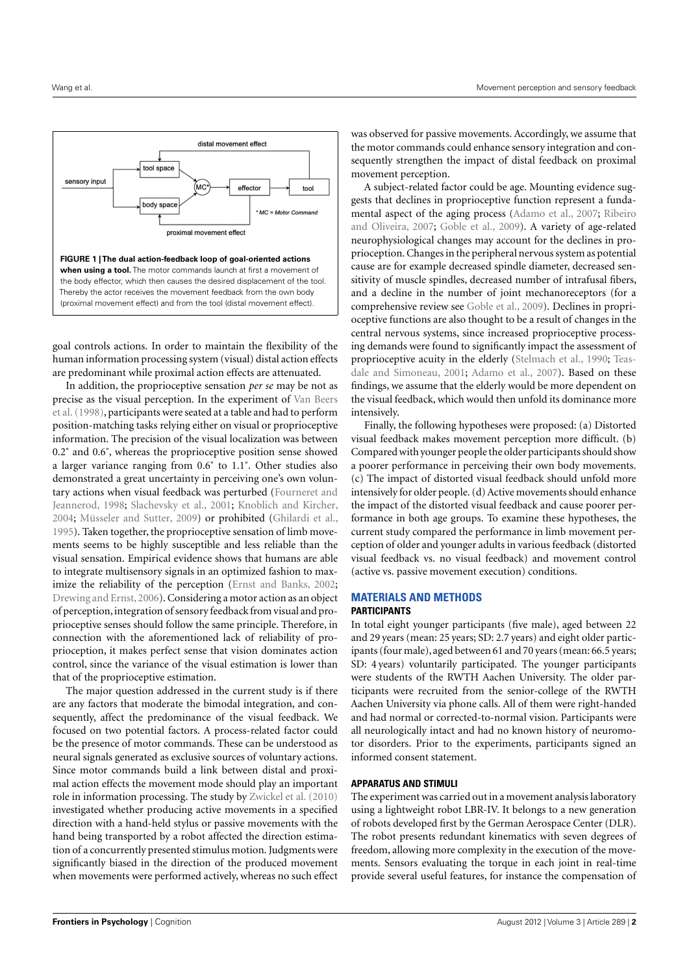

<span id="page-1-0"></span>goal controls actions. In order to maintain the flexibility of the human information processing system (visual) distal action effects are predominant while proximal action effects are attenuated.

In addition, the proprioceptive sensation *per se* may be not as precise as the visual perception. In the experiment of [Van Beers](#page-6-6) [et al.\(1998\)](#page-6-6), participants were seated at a table and had to perform position-matching tasks relying either on visual or proprioceptive information. The precision of the visual localization was between 0.2˚ and 0.6˚, whereas the proprioceptive position sense showed a larger variance ranging from 0.6˚ to 1.1˚. Other studies also demonstrated a great uncertainty in perceiving one's own voluntary actions when visual feedback was perturbed [\(Fourneret and](#page-5-3) [Jeannerod,](#page-5-3) [1998;](#page-5-3) [Slachevsky et al.,](#page-6-7) [2001;](#page-6-7) [Knoblich and Kircher,](#page-6-8) [2004;](#page-6-8) [Müsseler and Sutter,](#page-6-9) [2009\)](#page-6-9) or prohibited [\(Ghilardi et al.,](#page-5-4) [1995\)](#page-5-4). Taken together, the proprioceptive sensation of limb movements seems to be highly susceptible and less reliable than the visual sensation. Empirical evidence shows that humans are able to integrate multisensory signals in an optimized fashion to maximize the reliability of the perception [\(Ernst and Banks,](#page-5-5) [2002;](#page-5-5) [Drewing and Ernst,](#page-5-6) [2006\)](#page-5-6). Considering a motor action as an object of perception, integration of sensory feedback from visual and proprioceptive senses should follow the same principle. Therefore, in connection with the aforementioned lack of reliability of proprioception, it makes perfect sense that vision dominates action control, since the variance of the visual estimation is lower than that of the proprioceptive estimation.

The major question addressed in the current study is if there are any factors that moderate the bimodal integration, and consequently, affect the predominance of the visual feedback. We focused on two potential factors. A process-related factor could be the presence of motor commands. These can be understood as neural signals generated as exclusive sources of voluntary actions. Since motor commands build a link between distal and proximal action effects the movement mode should play an important role in information processing. The study by [Zwickel et al.](#page-6-10) [\(2010\)](#page-6-10) investigated whether producing active movements in a specified direction with a hand-held stylus or passive movements with the hand being transported by a robot affected the direction estimation of a concurrently presented stimulus motion. Judgments were significantly biased in the direction of the produced movement when movements were performed actively, whereas no such effect

was observed for passive movements. Accordingly, we assume that the motor commands could enhance sensory integration and consequently strengthen the impact of distal feedback on proximal movement perception.

A subject-related factor could be age. Mounting evidence suggests that declines in proprioceptive function represent a fundamental aspect of the aging process [\(Adamo et al.,](#page-5-7) [2007;](#page-5-7) [Ribeiro](#page-6-11) [and Oliveira,](#page-6-11) [2007;](#page-6-11) [Goble et al.,](#page-5-8) [2009\)](#page-5-8). A variety of age-related neurophysiological changes may account for the declines in proprioception. Changes in the peripheral nervous system as potential cause are for example decreased spindle diameter, decreased sensitivity of muscle spindles, decreased number of intrafusal fibers, and a decline in the number of joint mechanoreceptors (for a comprehensive review see [Goble et al.,](#page-5-8) [2009\)](#page-5-8). Declines in proprioceptive functions are also thought to be a result of changes in the central nervous systems, since increased proprioceptive processing demands were found to significantly impact the assessment of proprioceptive acuity in the elderly [\(Stelmach et al.,](#page-6-12) [1990;](#page-6-12) [Teas](#page-6-13)[dale and Simoneau,](#page-6-13) [2001;](#page-6-13) [Adamo et al.,](#page-5-7) [2007\)](#page-5-7). Based on these findings, we assume that the elderly would be more dependent on the visual feedback, which would then unfold its dominance more intensively.

Finally, the following hypotheses were proposed: (a) Distorted visual feedback makes movement perception more difficult. (b) Compared with younger people the older participants should show a poorer performance in perceiving their own body movements. (c) The impact of distorted visual feedback should unfold more intensively for older people. (d) Active movements should enhance the impact of the distorted visual feedback and cause poorer performance in both age groups. To examine these hypotheses, the current study compared the performance in limb movement perception of older and younger adults in various feedback (distorted visual feedback vs. no visual feedback) and movement control (active vs. passive movement execution) conditions.

## **MATERIALS AND METHODS PARTICIPANTS**

In total eight younger participants (five male), aged between 22 and 29 years (mean: 25 years; SD: 2.7 years) and eight older participants (four male), aged between 61 and 70 years (mean: 66.5 years; SD: 4 years) voluntarily participated. The younger participants were students of the RWTH Aachen University. The older participants were recruited from the senior-college of the RWTH Aachen University via phone calls. All of them were right-handed and had normal or corrected-to-normal vision. Participants were all neurologically intact and had no known history of neuromotor disorders. Prior to the experiments, participants signed an informed consent statement.

#### **APPARATUS AND STIMULI**

The experiment was carried out in a movement analysis laboratory using a lightweight robot LBR-IV. It belongs to a new generation of robots developed first by the German Aerospace Center (DLR). The robot presents redundant kinematics with seven degrees of freedom, allowing more complexity in the execution of the movements. Sensors evaluating the torque in each joint in real-time provide several useful features, for instance the compensation of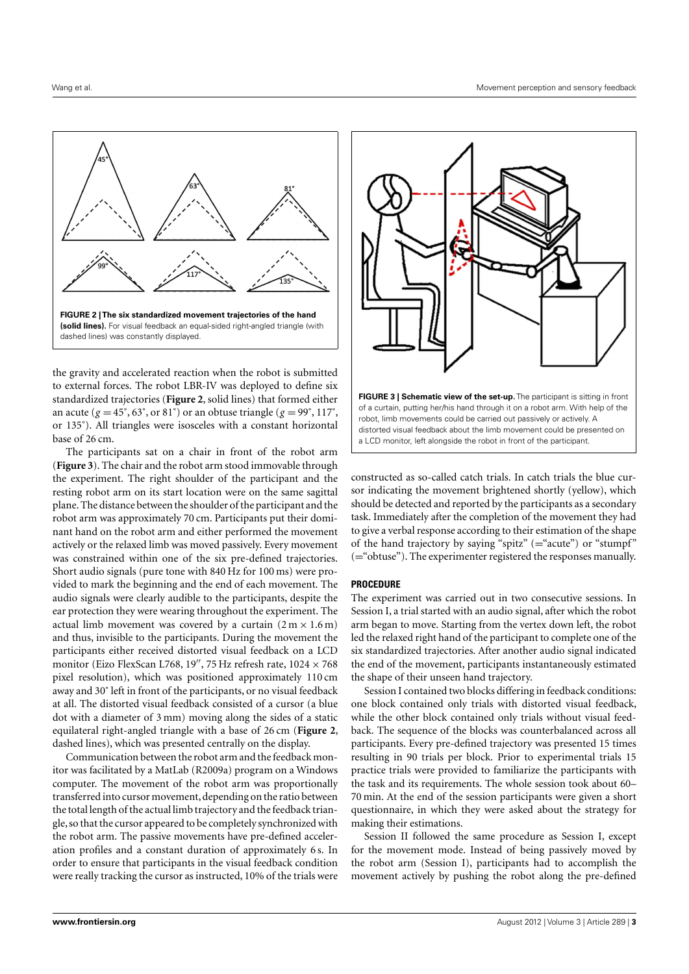

<span id="page-2-0"></span>the gravity and accelerated reaction when the robot is submitted to external forces. The robot LBR-IV was deployed to define six standardized trajectories (**[Figure 2](#page-2-0)**, solid lines) that formed either an acute ( $g = 45^\circ$ ,  $63^\circ$ , or  $81^\circ$ ) or an obtuse triangle ( $g = 99^\circ$ ,  $117^\circ$ , or 135˚). All triangles were isosceles with a constant horizontal base of 26 cm.

The participants sat on a chair in front of the robot arm (**[Figure 3](#page-2-1)**). The chair and the robot arm stood immovable through the experiment. The right shoulder of the participant and the resting robot arm on its start location were on the same sagittal plane. The distance between the shoulder of the participant and the robot arm was approximately 70 cm. Participants put their dominant hand on the robot arm and either performed the movement actively or the relaxed limb was moved passively. Every movement was constrained within one of the six pre-defined trajectories. Short audio signals (pure tone with 840 Hz for 100 ms) were provided to mark the beginning and the end of each movement. The audio signals were clearly audible to the participants, despite the ear protection they were wearing throughout the experiment. The actual limb movement was covered by a curtain  $(2 m \times 1.6 m)$ and thus, invisible to the participants. During the movement the participants either received distorted visual feedback on a LCD monitor (Eizo FlexScan L768, 19", 75 Hz refresh rate,  $1024 \times 768$ pixel resolution), which was positioned approximately 110 cm away and 30˚ left in front of the participants, or no visual feedback at all. The distorted visual feedback consisted of a cursor (a blue dot with a diameter of 3 mm) moving along the sides of a static equilateral right-angled triangle with a base of 26 cm (**[Figure 2](#page-2-0)**, dashed lines), which was presented centrally on the display.

Communication between the robot arm and the feedback monitor was facilitated by a MatLab (R2009a) program on a Windows computer. The movement of the robot arm was proportionally transferred into cursor movement, depending on the ratio between the total length of the actual limb trajectory and the feedback triangle, so that the cursor appeared to be completely synchronized with the robot arm. The passive movements have pre-defined acceleration profiles and a constant duration of approximately 6 s. In order to ensure that participants in the visual feedback condition were really tracking the cursor as instructed, 10% of the trials were



<span id="page-2-1"></span>constructed as so-called catch trials. In catch trials the blue cursor indicating the movement brightened shortly (yellow), which should be detected and reported by the participants as a secondary task. Immediately after the completion of the movement they had to give a verbal response according to their estimation of the shape of the hand trajectory by saying "spitz" ( $=$ "acute") or "stumpf" (="obtuse"). The experimenter registered the responses manually.

### **PROCEDURE**

The experiment was carried out in two consecutive sessions. In Session I, a trial started with an audio signal, after which the robot arm began to move. Starting from the vertex down left, the robot led the relaxed right hand of the participant to complete one of the six standardized trajectories. After another audio signal indicated the end of the movement, participants instantaneously estimated the shape of their unseen hand trajectory.

Session I contained two blocks differing in feedback conditions: one block contained only trials with distorted visual feedback, while the other block contained only trials without visual feedback. The sequence of the blocks was counterbalanced across all participants. Every pre-defined trajectory was presented 15 times resulting in 90 trials per block. Prior to experimental trials 15 practice trials were provided to familiarize the participants with the task and its requirements. The whole session took about 60– 70 min. At the end of the session participants were given a short questionnaire, in which they were asked about the strategy for making their estimations.

Session II followed the same procedure as Session I, except for the movement mode. Instead of being passively moved by the robot arm (Session I), participants had to accomplish the movement actively by pushing the robot along the pre-defined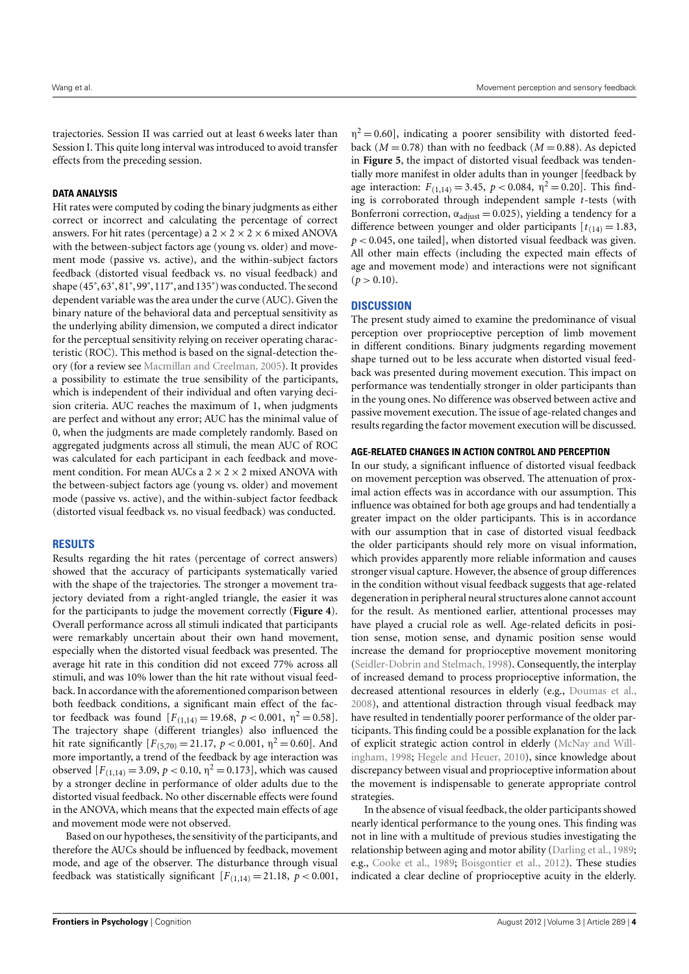trajectories. Session II was carried out at least 6 weeks later than Session I. This quite long interval was introduced to avoid transfer effects from the preceding session.

#### **DATA ANALYSIS**

Hit rates were computed by coding the binary judgments as either correct or incorrect and calculating the percentage of correct answers. For hit rates (percentage) a  $2 \times 2 \times 2 \times 6$  mixed ANOVA with the between-subject factors age (young vs. older) and movement mode (passive vs. active), and the within-subject factors feedback (distorted visual feedback vs. no visual feedback) and shape (45˚, 63˚, 81˚, 99˚, 117˚, and 135˚) was conducted. The second dependent variable was the area under the curve (AUC). Given the binary nature of the behavioral data and perceptual sensitivity as the underlying ability dimension, we computed a direct indicator for the perceptual sensitivity relying on receiver operating characteristic (ROC). This method is based on the signal-detection theory (for a review see [Macmillan and Creelman,](#page-6-14) [2005\)](#page-6-14). It provides a possibility to estimate the true sensibility of the participants, which is independent of their individual and often varying decision criteria. AUC reaches the maximum of 1, when judgments are perfect and without any error; AUC has the minimal value of 0, when the judgments are made completely randomly. Based on aggregated judgments across all stimuli, the mean AUC of ROC was calculated for each participant in each feedback and movement condition. For mean AUCs a  $2 \times 2 \times 2$  mixed ANOVA with the between-subject factors age (young vs. older) and movement mode (passive vs. active), and the within-subject factor feedback (distorted visual feedback vs. no visual feedback) was conducted.

## **RESULTS**

Results regarding the hit rates (percentage of correct answers) showed that the accuracy of participants systematically varied with the shape of the trajectories. The stronger a movement trajectory deviated from a right-angled triangle, the easier it was for the participants to judge the movement correctly (**[Figure 4](#page-4-0)**). Overall performance across all stimuli indicated that participants were remarkably uncertain about their own hand movement, especially when the distorted visual feedback was presented. The average hit rate in this condition did not exceed 77% across all stimuli, and was 10% lower than the hit rate without visual feedback. In accordance with the aforementioned comparison between both feedback conditions, a significant main effect of the factor feedback was found  $[F_{(1,14)} = 19.68, p < 0.001, \eta^2 = 0.58].$ The trajectory shape (different triangles) also influenced the hit rate significantly  $[F_{(5,70)} = 21.17, p < 0.001, \eta^2 = 0.60]$ . And more importantly, a trend of the feedback by age interaction was observed  $[F_{(1,14)} = 3.09, p < 0.10, \eta^2 = 0.173]$ , which was caused by a stronger decline in performance of older adults due to the distorted visual feedback. No other discernable effects were found in the ANOVA, which means that the expected main effects of age and movement mode were not observed.

Based on our hypotheses, the sensitivity of the participants, and therefore the AUCs should be influenced by feedback, movement mode, and age of the observer. The disturbance through visual feedback was statistically significant  $[F(1,14) = 21.18, p < 0.001,$ 

 $\eta^2 = 0.60$ , indicating a poorer sensibility with distorted feedback ( $M = 0.78$ ) than with no feedback ( $M = 0.88$ ). As depicted in **[Figure 5](#page-4-1)**, the impact of distorted visual feedback was tendentially more manifest in older adults than in younger [feedback by age interaction:  $F_{(1,14)} = 3.45$ ,  $p < 0.084$ ,  $\eta^2 = 0.20$ . This finding is corroborated through independent sample *t*-tests (with Bonferroni correction,  $\alpha_{\text{adiust}} = 0.025$ ), yielding a tendency for a difference between younger and older participants  $[t_{(14)}] = 1.83$ , *p* < 0.045, one tailed], when distorted visual feedback was given. All other main effects (including the expected main effects of age and movement mode) and interactions were not significant  $(p > 0.10)$ .

#### **DISCUSSION**

The present study aimed to examine the predominance of visual perception over proprioceptive perception of limb movement in different conditions. Binary judgments regarding movement shape turned out to be less accurate when distorted visual feedback was presented during movement execution. This impact on performance was tendentially stronger in older participants than in the young ones. No difference was observed between active and passive movement execution. The issue of age-related changes and results regarding the factor movement execution will be discussed.

#### **AGE-RELATED CHANGES IN ACTION CONTROL AND PERCEPTION**

In our study, a significant influence of distorted visual feedback on movement perception was observed. The attenuation of proximal action effects was in accordance with our assumption. This influence was obtained for both age groups and had tendentially a greater impact on the older participants. This is in accordance with our assumption that in case of distorted visual feedback the older participants should rely more on visual information, which provides apparently more reliable information and causes stronger visual capture. However, the absence of group differences in the condition without visual feedback suggests that age-related degeneration in peripheral neural structures alone cannot account for the result. As mentioned earlier, attentional processes may have played a crucial role as well. Age-related deficits in position sense, motion sense, and dynamic position sense would increase the demand for proprioceptive movement monitoring [\(Seidler-Dobrin and Stelmach,](#page-6-15) [1998\)](#page-6-15). Consequently, the interplay of increased demand to process proprioceptive information, the decreased attentional resources in elderly (e.g., [Doumas et al.,](#page-5-9) [2008\)](#page-5-9), and attentional distraction through visual feedback may have resulted in tendentially poorer performance of the older participants. This finding could be a possible explanation for the lack of explicit strategic action control in elderly [\(McNay and Will](#page-6-16)[ingham,](#page-6-16) [1998;](#page-6-16) [Hegele and Heuer,](#page-6-17) [2010\)](#page-6-17), since knowledge about discrepancy between visual and proprioceptive information about the movement is indispensable to generate appropriate control strategies.

In the absence of visual feedback, the older participants showed nearly identical performance to the young ones. This finding was not in line with a multitude of previous studies investigating the relationship between aging and motor ability [\(Darling et al.,](#page-5-10) [1989;](#page-5-10) e.g., [Cooke et al.,](#page-5-11) [1989;](#page-5-11) [Boisgontier et al.,](#page-5-12) [2012\)](#page-5-12). These studies indicated a clear decline of proprioceptive acuity in the elderly.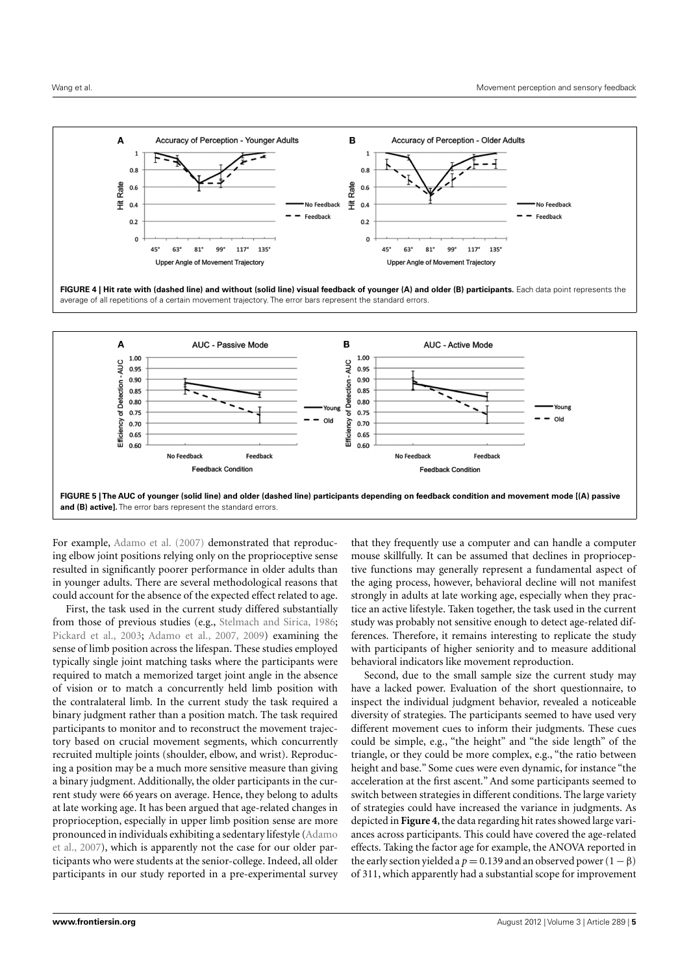

<span id="page-4-0"></span>

![](_page_4_Figure_4.jpeg)

<span id="page-4-1"></span>For example, [Adamo et al.](#page-5-7) [\(2007\)](#page-5-7) demonstrated that reproducing elbow joint positions relying only on the proprioceptive sense resulted in significantly poorer performance in older adults than in younger adults. There are several methodological reasons that could account for the absence of the expected effect related to age.

First, the task used in the current study differed substantially from those of previous studies (e.g., [Stelmach and Sirica,](#page-6-18) [1986;](#page-6-18) [Pickard et al.,](#page-6-19) [2003;](#page-6-19) [Adamo et al.,](#page-5-7) [2007,](#page-5-7) [2009\)](#page-5-13) examining the sense of limb position across the lifespan. These studies employed typically single joint matching tasks where the participants were required to match a memorized target joint angle in the absence of vision or to match a concurrently held limb position with the contralateral limb. In the current study the task required a binary judgment rather than a position match. The task required participants to monitor and to reconstruct the movement trajectory based on crucial movement segments, which concurrently recruited multiple joints (shoulder, elbow, and wrist). Reproducing a position may be a much more sensitive measure than giving a binary judgment. Additionally, the older participants in the current study were 66 years on average. Hence, they belong to adults at late working age. It has been argued that age-related changes in proprioception, especially in upper limb position sense are more pronounced in individuals exhibiting a sedentary lifestyle [\(Adamo](#page-5-7) [et al.,](#page-5-7) [2007\)](#page-5-7), which is apparently not the case for our older participants who were students at the senior-college. Indeed, all older participants in our study reported in a pre-experimental survey

that they frequently use a computer and can handle a computer mouse skillfully. It can be assumed that declines in proprioceptive functions may generally represent a fundamental aspect of the aging process, however, behavioral decline will not manifest strongly in adults at late working age, especially when they practice an active lifestyle. Taken together, the task used in the current study was probably not sensitive enough to detect age-related differences. Therefore, it remains interesting to replicate the study with participants of higher seniority and to measure additional behavioral indicators like movement reproduction.

Second, due to the small sample size the current study may have a lacked power. Evaluation of the short questionnaire, to inspect the individual judgment behavior, revealed a noticeable diversity of strategies. The participants seemed to have used very different movement cues to inform their judgments. These cues could be simple, e.g., "the height" and "the side length" of the triangle, or they could be more complex, e.g., "the ratio between height and base." Some cues were even dynamic, for instance "the acceleration at the first ascent." And some participants seemed to switch between strategies in different conditions. The large variety of strategies could have increased the variance in judgments. As depicted in **[Figure 4](#page-4-0)**, the data regarding hit rates showed large variances across participants. This could have covered the age-related effects. Taking the factor age for example, the ANOVA reported in the early section yielded a  $p = 0.139$  and an observed power  $(1 - \beta)$ of 311, which apparently had a substantial scope for improvement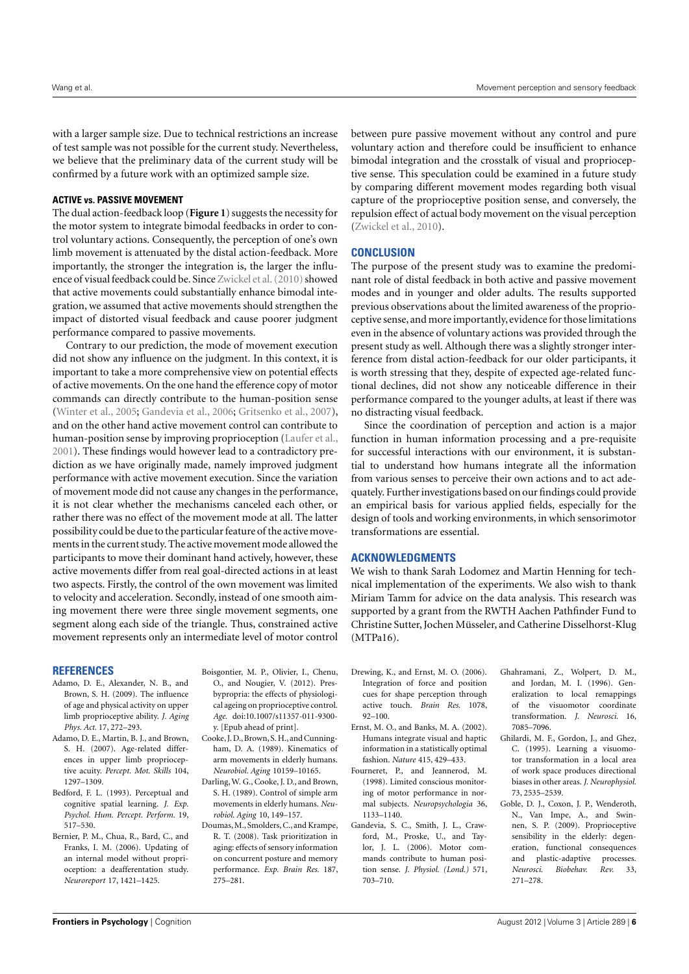with a larger sample size. Due to technical restrictions an increase of test sample was not possible for the current study. Nevertheless, we believe that the preliminary data of the current study will be confirmed by a future work with an optimized sample size.

#### **ACTIVE vs. PASSIVE MOVEMENT**

The dual action-feedback loop (**[Figure 1](#page-1-0)**) suggests the necessity for the motor system to integrate bimodal feedbacks in order to control voluntary actions. Consequently, the perception of one's own limb movement is attenuated by the distal action-feedback. More importantly, the stronger the integration is, the larger the influence of visual feedback could be. Since Zwickel et al. (2010) showed that active movements could substantially enhance bimodal integration, we assumed that active movements should strengthen the impact of distorted visual feedback and cause poorer judgment performance compared to passive movements.

Contrary to our prediction, the mode of movement execution did not show any influence on the judgment. In this context, it is important to take a more comprehensive view on potential effects of active movements. On the one hand the efference copy of motor commands can directly contribute to the human-position sense [\(Winter et al.,](#page-6-20) [2005;](#page-6-20) [Gandevia et al.,](#page-5-14) [2006;](#page-5-14) [Gritsenko et al.,](#page-6-21) [2007\)](#page-6-21), and on the other hand active movement control can contribute to human-position sense by improving proprioception [\(Laufer et al.,](#page-6-22) [2001\)](#page-6-22). These findings would however lead to a contradictory prediction as we have originally made, namely improved judgment performance with active movement execution. Since the variation of movement mode did not cause any changes in the performance, it is not clear whether the mechanisms canceled each other, or rather there was no effect of the movement mode at all. The latter possibility could be due to the particular feature of the active movements in the current study. The active movement mode allowed the participants to move their dominant hand actively, however, these active movements differ from real goal-directed actions in at least two aspects. Firstly, the control of the own movement was limited to velocity and acceleration. Secondly, instead of one smooth aiming movement there were three single movement segments, one segment along each side of the triangle. Thus, constrained active movement represents only an intermediate level of motor control

between pure passive movement without any control and pure voluntary action and therefore could be insufficient to enhance bimodal integration and the crosstalk of visual and proprioceptive sense. This speculation could be examined in a future study by comparing different movement modes regarding both visual capture of the proprioceptive position sense, and conversely, the repulsion effect of actual body movement on the visual perception [\(Zwickel et al.,](#page-6-10) [2010\)](#page-6-10).

#### **CONCLUSION**

The purpose of the present study was to examine the predominant role of distal feedback in both active and passive movement modes and in younger and older adults. The results supported previous observations about the limited awareness of the proprioceptive sense, and more importantly, evidence for those limitations even in the absence of voluntary actions was provided through the present study as well. Although there was a slightly stronger interference from distal action-feedback for our older participants, it is worth stressing that they, despite of expected age-related functional declines, did not show any noticeable difference in their performance compared to the younger adults, at least if there was no distracting visual feedback.

Since the coordination of perception and action is a major function in human information processing and a pre-requisite for successful interactions with our environment, it is substantial to understand how humans integrate all the information from various senses to perceive their own actions and to act adequately. Further investigations based on our findings could provide an empirical basis for various applied fields, especially for the design of tools and working environments, in which sensorimotor transformations are essential.

#### **ACKNOWLEDGMENTS**

We wish to thank Sarah Lodomez and Martin Henning for technical implementation of the experiments. We also wish to thank Miriam Tamm for advice on the data analysis. This research was supported by a grant from the RWTH Aachen Pathfinder Fund to Christine Sutter, Jochen Müsseler, and Catherine Disselhorst-Klug (MTPa16).

#### **REFERENCES**

- <span id="page-5-13"></span>Adamo, D. E., Alexander, N. B., and Brown, S. H. (2009). The influence of age and physical activity on upper limb proprioceptive ability. *J. Aging Phys. Act.* 17, 272–293.
- <span id="page-5-7"></span>Adamo, D. E., Martin, B. J., and Brown, S. H. (2007). Age-related differences in upper limb proprioceptive acuity. *Percept. Mot. Skills* 104, 1297–1309.
- <span id="page-5-0"></span>Bedford, F. L. (1993). Perceptual and cognitive spatial learning. *J. Exp. Psychol. Hum. Percept. Perform.* 19, 517–530.
- <span id="page-5-2"></span>Bernier, P. M., Chua, R., Bard, C., and Franks, I. M. (2006). Updating of an internal model without proprioception: a deafferentation study. *Neuroreport* 17, 1421–1425.
- <span id="page-5-12"></span>Boisgontier, M. P., Olivier, I., Chenu, O., and Nougier, V. (2012). Presbypropria: the effects of physiological ageing on proprioceptive control. *Age.* doi:10.1007/s11357-011-9300 y. [Epub ahead of print].
- <span id="page-5-11"></span>Cooke, J. D., Brown, S. H., and Cunningham, D. A. (1989). Kinematics of arm movements in elderly humans. *Neurobiol. Aging* 10159–10165.
- <span id="page-5-10"></span>Darling,W. G., Cooke, J. D., and Brown, S. H. (1989). Control of simple arm movements in elderly humans. *Neurobiol. Aging* 10, 149–157.
- <span id="page-5-9"></span>Doumas,M., Smolders,C., and Krampe, R. T. (2008). Task prioritization in aging: effects of sensory information on concurrent posture and memory performance. *Exp. Brain Res.* 187, 275–281.
- <span id="page-5-6"></span>Drewing, K., and Ernst, M. O. (2006). Integration of force and position cues for shape perception through active touch. *Brain Res.* 1078, 92–100.
- <span id="page-5-5"></span>Ernst, M. O., and Banks, M. A. (2002). Humans integrate visual and haptic information in a statistically optimal fashion. *Nature* 415, 429–433.
- <span id="page-5-3"></span>Fourneret, P., and Jeannerod, M. (1998). Limited conscious monitoring of motor performance in normal subjects. *Neuropsychologia* 36, 1133–1140.
- <span id="page-5-14"></span>Gandevia, S. C., Smith, J. L., Crawford, M., Proske, U., and Taylor, J. L. (2006). Motor commands contribute to human position sense. *J. Physiol. (Lond.)* 571, 703–710.
- <span id="page-5-1"></span>Ghahramani, Z., Wolpert, D. M., and Jordan, M. I. (1996). Generalization to local remappings of the visuomotor coordinate transformation. *J. Neurosci.* 16, 7085–7096.
- <span id="page-5-4"></span>Ghilardi, M. F., Gordon, J., and Ghez, C. (1995). Learning a visuomotor transformation in a local area of work space produces directional biases in other areas. *J. Neurophysiol.* 73, 2535–2539.
- <span id="page-5-8"></span>Goble, D. J., Coxon, J. P., Wenderoth, N., Van Impe, A., and Swinnen, S. P. (2009). Proprioceptive sensibility in the elderly: degeneration, functional consequences and plastic-adaptive processes. *Neurosci. Biobehav. Rev.* 33, 271–278.